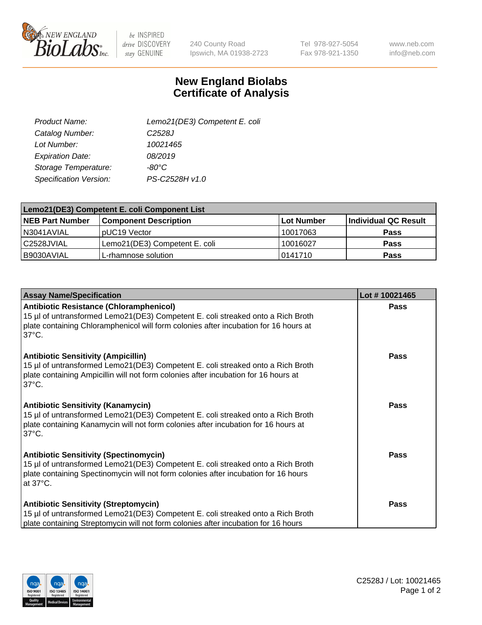

 $be$  INSPIRED drive DISCOVERY stay GENUINE

240 County Road Ipswich, MA 01938-2723 Tel 978-927-5054 Fax 978-921-1350

www.neb.com info@neb.com

## **New England Biolabs Certificate of Analysis**

| Lemo21(DE3) Competent E. coli |
|-------------------------------|
| C <sub>2528</sub> J           |
| 10021465                      |
| 08/2019                       |
| -80°C                         |
| PS-C2528H v1.0                |
|                               |

| Lemo21(DE3) Competent E. coli Component List |                               |                   |                             |  |
|----------------------------------------------|-------------------------------|-------------------|-----------------------------|--|
| <b>NEB Part Number</b>                       | <b>Component Description</b>  | <b>Lot Number</b> | <b>Individual QC Result</b> |  |
| I N3041AVIAL                                 | IpUC19 Vector                 | 10017063          | Pass                        |  |
| C2528JVIAL                                   | Lemo21(DE3) Competent E. coli | 10016027          | <b>Pass</b>                 |  |
| B9030AVIAL                                   | L-rhamnose solution           | 0141710           | <b>Pass</b>                 |  |

| <b>Assay Name/Specification</b>                                                                                                                                                                                                               | Lot #10021465 |
|-----------------------------------------------------------------------------------------------------------------------------------------------------------------------------------------------------------------------------------------------|---------------|
| Antibiotic Resistance (Chloramphenicol)<br>15 µl of untransformed Lemo21(DE3) Competent E. coli streaked onto a Rich Broth<br>plate containing Chloramphenicol will form colonies after incubation for 16 hours at<br>$37^{\circ}$ C.         | Pass          |
| <b>Antibiotic Sensitivity (Ampicillin)</b><br>15 µl of untransformed Lemo21(DE3) Competent E. coli streaked onto a Rich Broth<br>plate containing Ampicillin will not form colonies after incubation for 16 hours at<br>137°C.                | Pass          |
| <b>Antibiotic Sensitivity (Kanamycin)</b><br>15 µl of untransformed Lemo21(DE3) Competent E. coli streaked onto a Rich Broth<br>plate containing Kanamycin will not form colonies after incubation for 16 hours at<br>$37^{\circ}$ C.         | <b>Pass</b>   |
| <b>Antibiotic Sensitivity (Spectinomycin)</b><br>15 µl of untransformed Lemo21(DE3) Competent E. coli streaked onto a Rich Broth<br>plate containing Spectinomycin will not form colonies after incubation for 16 hours<br>at $37^{\circ}$ C. | Pass          |
| <b>Antibiotic Sensitivity (Streptomycin)</b><br>15 µl of untransformed Lemo21(DE3) Competent E. coli streaked onto a Rich Broth<br>plate containing Streptomycin will not form colonies after incubation for 16 hours                         | <b>Pass</b>   |